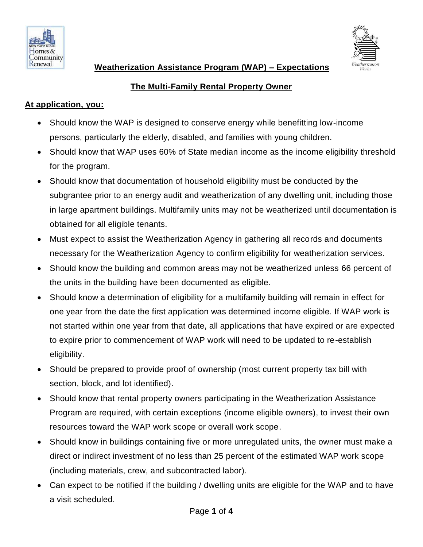



 **Weatherization Assistance Program (WAP) – Expectations** 

## **The Multi-Family Rental Property Owner**

### **At application, you:**

- Should know the WAP is designed to conserve energy while benefitting low-income persons, particularly the elderly, disabled, and families with young children.
- Should know that WAP uses 60% of State median income as the income eligibility threshold for the program.
- Should know that documentation of household eligibility must be conducted by the subgrantee prior to an energy audit and weatherization of any dwelling unit, including those in large apartment buildings. Multifamily units may not be weatherized until documentation is obtained for all eligible tenants.
- Must expect to assist the Weatherization Agency in gathering all records and documents necessary for the Weatherization Agency to confirm eligibility for weatherization services.
- Should know the building and common areas may not be weatherized unless 66 percent of the units in the building have been documented as eligible.
- Should know a determination of eligibility for a multifamily building will remain in effect for one year from the date the first application was determined income eligible. If WAP work is not started within one year from that date, all applications that have expired or are expected to expire prior to commencement of WAP work will need to be updated to re-establish eligibility.
- Should be prepared to provide proof of ownership (most current property tax bill with section, block, and lot identified).
- Should know that rental property owners participating in the Weatherization Assistance Program are required, with certain exceptions (income eligible owners), to invest their own resources toward the WAP work scope or overall work scope.
- Should know in buildings containing five or more unregulated units, the owner must make a direct or indirect investment of no less than 25 percent of the estimated WAP work scope (including materials, crew, and subcontracted labor).
- Can expect to be notified if the building / dwelling units are eligible for the WAP and to have a visit scheduled.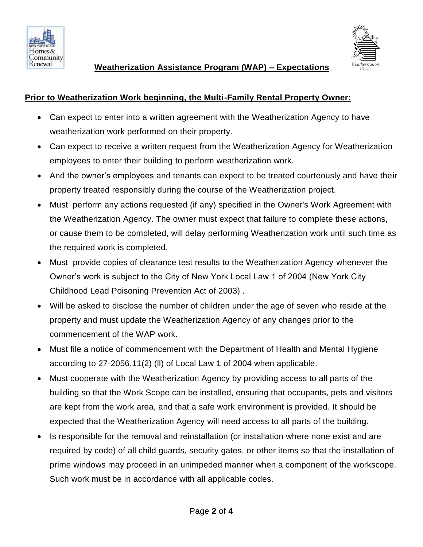



### **Prior to Weatherization Work beginning, the Multi-Family Rental Property Owner:**

- Can expect to enter into a written agreement with the Weatherization Agency to have weatherization work performed on their property.
- Can expect to receive a written request from the Weatherization Agency for Weatherization employees to enter their building to perform weatherization work.
- And the owner's employees and tenants can expect to be treated courteously and have their property treated responsibly during the course of the Weatherization project.
- Must perform any actions requested (if any) specified in the Owner's Work Agreement with the Weatherization Agency. The owner must expect that failure to complete these actions, or cause them to be completed, will delay performing Weatherization work until such time as the required work is completed.
- Must provide copies of clearance test results to the Weatherization Agency whenever the Owner's work is subject to the City of New York Local Law 1 of 2004 (New York City Childhood Lead Poisoning Prevention Act of 2003) .
- Will be asked to disclose the number of children under the age of seven who reside at the property and must update the Weatherization Agency of any changes prior to the commencement of the WAP work.
- Must file a notice of commencement with the Department of Health and Mental Hygiene according to 27-2056.11(2) (ll) of Local Law 1 of 2004 when applicable.
- Must cooperate with the Weatherization Agency by providing access to all parts of the building so that the Work Scope can be installed, ensuring that occupants, pets and visitors are kept from the work area, and that a safe work environment is provided. It should be expected that the Weatherization Agency will need access to all parts of the building.
- Is responsible for the removal and reinstallation (or installation where none exist and are required by code) of all child guards, security gates, or other items so that the installation of prime windows may proceed in an unimpeded manner when a component of the workscope. Such work must be in accordance with all applicable codes.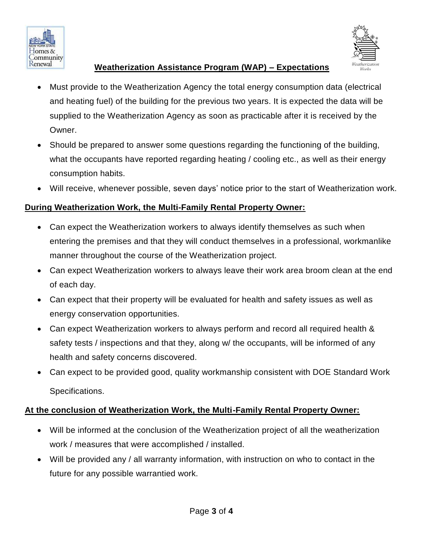



### **Weatherization Assistance Program (WAP) – Expectations**

- Must provide to the Weatherization Agency the total energy consumption data (electrical and heating fuel) of the building for the previous two years. It is expected the data will be supplied to the Weatherization Agency as soon as practicable after it is received by the Owner.
- Should be prepared to answer some questions regarding the functioning of the building, what the occupants have reported regarding heating / cooling etc., as well as their energy consumption habits.
- Will receive, whenever possible, seven days' notice prior to the start of Weatherization work.

# **During Weatherization Work, the Multi-Family Rental Property Owner:**

- Can expect the Weatherization workers to always identify themselves as such when entering the premises and that they will conduct themselves in a professional, workmanlike manner throughout the course of the Weatherization project.
- Can expect Weatherization workers to always leave their work area broom clean at the end of each day.
- Can expect that their property will be evaluated for health and safety issues as well as energy conservation opportunities.
- Can expect Weatherization workers to always perform and record all required health & safety tests / inspections and that they, along w/ the occupants, will be informed of any health and safety concerns discovered.
- Can expect to be provided good, quality workmanship consistent with DOE Standard Work Specifications.

### **At the conclusion of Weatherization Work, the Multi-Family Rental Property Owner:**

- Will be informed at the conclusion of the Weatherization project of all the weatherization work / measures that were accomplished / installed.
- Will be provided any / all warranty information, with instruction on who to contact in the future for any possible warrantied work.